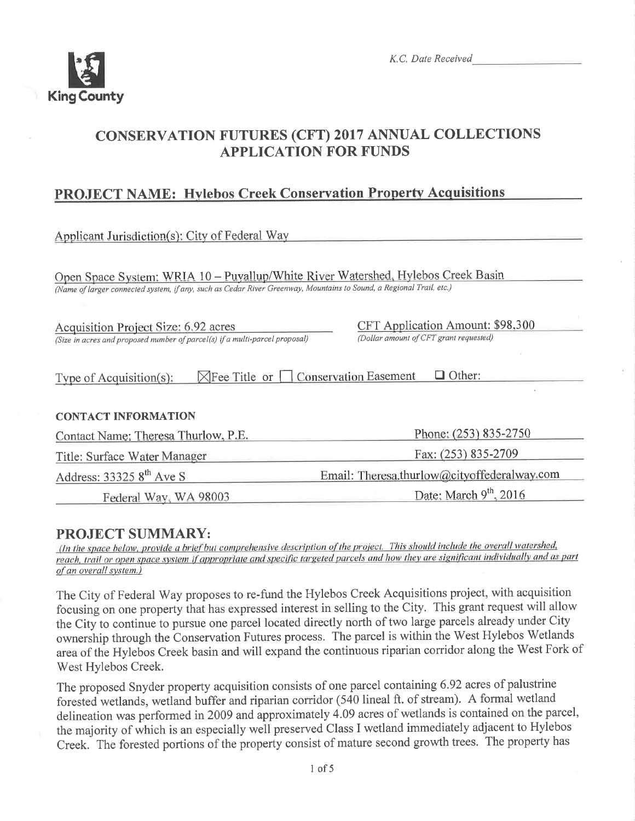

# **CONSERVATION FUTURES (CFT) 2017 ANNUAL COLLECTIONS APPLICATION FOR FUNDS**

# **PROJECT NAME: Hylebos Creek Conservation Property Acquisitions**

Applicant Jurisdiction(s): City of Federal Way

Open Space System: WRIA 10 - Puvallup/White River Watershed, Hylebos Creek Basin (Name of larger connected system, if any, such as Cedar River Greenway, Mountains to Sound, a Regional Trail, etc.)

**Acquisition Project Size: 6.92 acres** (Size in acres and proposed number of parcel(s) if a multi-parcel proposal) CFT Application Amount: \$98,300 (Dollar amount of CFT grant requested)

| Type of Acquisition $(s)$ : |  | $\boxtimes$ Fee Title or $\Box$ Conservation Easement | $\Box$ Other: |
|-----------------------------|--|-------------------------------------------------------|---------------|
|-----------------------------|--|-------------------------------------------------------|---------------|

### **CONTACT INFORMATION**

| Contact Name: Theresa Thurlow, P.E. | Phone: (253) 835-2750<br>Fax: (253) 835-2709<br>Email: Theresa.thurlow@cityoffederalway.com |  |
|-------------------------------------|---------------------------------------------------------------------------------------------|--|
| Title: Surface Water Manager        |                                                                                             |  |
| Address: $333258^{\text{th}}$ Ave S |                                                                                             |  |
| Federal Way, WA 98003               | Date: March $9^{th}$ , 2016                                                                 |  |

# **PROJECT SUMMARY:**

(In the space below, provide a brief but comprehensive description of the project. This should include the overall watershed, reach, trail or open space system if appropriate and specific targeted parcels and how they are significant individually and as part of an overall system.)

The City of Federal Way proposes to re-fund the Hylebos Creek Acquisitions project, with acquisition focusing on one property that has expressed interest in selling to the City. This grant request will allow the City to continue to pursue one parcel located directly north of two large parcels already under City ownership through the Conservation Futures process. The parcel is within the West Hylebos Wetlands area of the Hylebos Creek basin and will expand the continuous riparian corridor along the West Fork of West Hylebos Creek.

The proposed Snyder property acquisition consists of one parcel containing 6.92 acres of palustrine forested wetlands, wetland buffer and riparian corridor (540 lineal ft. of stream). A formal wetland delineation was performed in 2009 and approximately 4.09 acres of wetlands is contained on the parcel, the majority of which is an especially well preserved Class I wetland immediately adjacent to Hylebos Creek. The forested portions of the property consist of mature second growth trees. The property has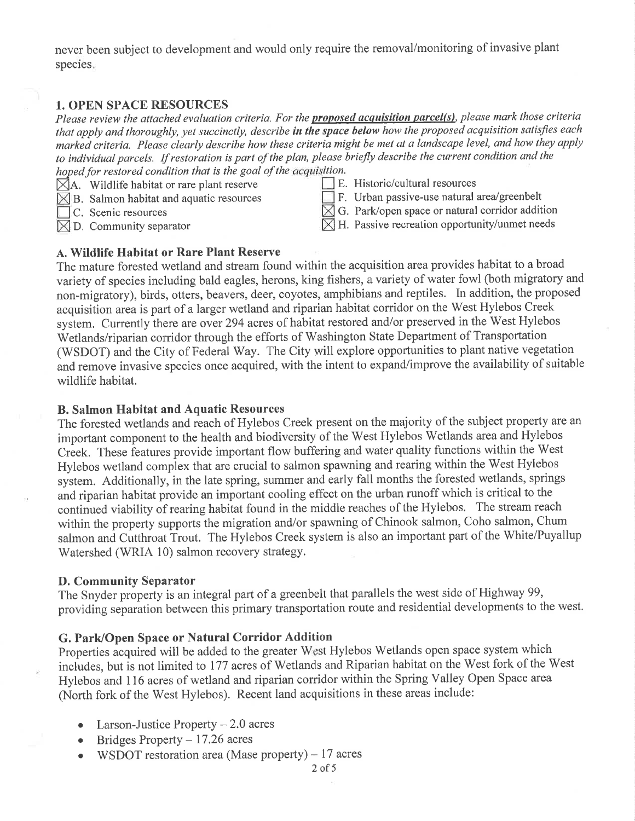never been subject to development and would only require the removal/monitoring of invasive plant species.

## 1. OPEN SPACE RESOURCES

Please review the attached evaluation criteria. For the **proposed acquisition parcel(s)**, please mark those criteria that apply and thoroughly, yet succinctly, describe in the space below how the proposed acquisition satisfies each markeà criteria. Please clearly describe how these criteria might be met at a landscape level, and how they apply to individual parcels. If restoration is part of the plan, please briefly describe the current condition and the hoped for restored condition that is the goal of the acquisition.

- $\overline{\boxtimes}$ A. Wildlife habitat or rare plant reserve
- $\times$  B. Salmon habitat and aquatic resources
- C. Scenic resources
- $\boxtimes$  D. Community separator

E. Historic/cultural resources

- $\Box$  F. Urban passive-use natural area/greenbelt
- $\boxtimes$  G. Park/open space or natural corridor addition
- $\boxtimes$  H. Passive recreation opportunity/unmet needs

## a. Wildlife Habitat or Rare Plant Reserve

The mature forested wetland and stream found within the acquisition area provides habitat to a broad variety of species including bald eagles, herons, king fishers, a variety of water fowl (both migratory and non-migratory), birds, otters, beavers, deer, coyotes, amphibians and reptiles. In addition, the proposed acquisition area is part of alarger wetland and riparian habitat corridor on the West Hylebos Creek system. Currently there are over 294 acres of habitat restored and/or preserved in the West Hylebos Wetlands/riparian corridor through the efforts of Washington State Department of Transportation (WSDOT) and the City of Federal Way. The City will explore opportunities to plant native vegetation and remove invasive species once acquired, with the intent to expand/improve the availability of suitable wildlife habitat.

## B. Salmon Habitat and Aquatic Resources

The forested wetlands and reach of Hylebos Creek present on the majority of the subject property ate an important component to the health and biodiversity of the West Hylebos Wetlands area and Hylebos Creek. These features provide important flow buffering and water quality functions within the West Hylebos wetland complex that are crucial to salmon spawning and rearing within the West Hylebos system. Additionally, in the late spring, summer and early fall months the forested wetlands, springs and riparian habitat provide an important cooling effect on the urban runoff which is critical to the continued viability of rearing habitat found in the middle reaches of the Hylebos. The stream reach within the property supports the migration and/or spawning of Chinook salmon, Coho salmon, Chum salmon and Cutthroat Trout. The Hylebos Creek system is also an important part of the White/Puyallup Watershed (WRIA 10) salmon recovery strategy.

### D. Community Separator

The Snyder property is an integral part of a greenbelt that parallels the west side of Highway 99, providing separation between this primary transportation route and residential developments to the west.

## G. Park/Open Space or Natural Corridor Addition

Properties acquired will be added to the greater West Hylebos Wetlands open space system which includes, but is not limited to 177 acres of Wetlands and Riparian habitat on the West fork of the West Hylebos and 116 acres of wetland and riparian corridor within the Spring Valley Open Space area (North fork of the West Hylebos). Recent land acquisitions in these areas include:

- Larson-Justice Property  $-2.0$  acres
- $\bullet$  Bridges Property 17.26 acres
- WSDOT restoration area (Mase property)  $-17$  acres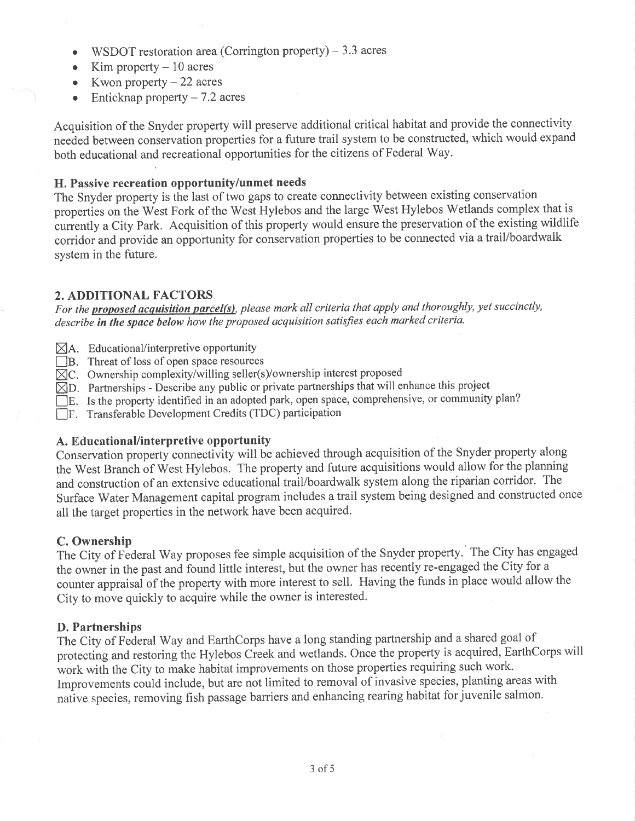- WSDOT restoration area (Corrington property)  $-3.3$  acres
- Kim property  $-10$  acres
- Kwon property  $-22$  acres
- Enticknap property  $7.2$  acres

Acquisition of the Snyder property will preserve additional critical habitat and provide the connectivity neeáed between conservation properties for a future trail system to be constructed, which would expand both educational and recreational opportunities for the citizens of Federal 'Way.

## H. Passive recreation opportunity/unmet needs

The Snyder property is the last of two gaps to create connectivity between existing conservation properties on the West Fork of the West Hylebos and the large West Hylebos Wetlands complex that is currently a City Park. Acquisition of this property would ensure the preservation of the existing wildlife corridor and provide an opportunity for conservation properties to be connected via a trail/boardwalk system in the future.

### 2. ADDITIONAL FACTORS

For the **proposed acquisition parcel(s)**, please mark all criteria that apply and thoroughly, yet succinctly, describe in the space below how the proposed acquisition satisfies each marked criteria.

- $\boxtimes$ A. Educational/interpretive opportunity
- B. Threat of loss of open space resources
- $\boxtimes$ C. Ownership complexity/willing seller(s)/ownership interest proposed
- $\boxtimes$ D. Partnerships Describe any public or private partnerships that will enhance this project
- $\Box$  E. Is the property identified in an adopted park, open space, comprehensive, or community plan?
- $\Box$ F. Transferable Development Credits (TDC) participation

### A. EducationaVinterpretive opportunity

Conservation property connectivity will be achieved through acquisition of the Snyder property along the West Branch ôf West Hylebos. The property and future acquisitions would allow for the planning and construction of an extensive educational trail/boardwalk system along the riparian corridor. The Surface Water Management capital program includes a trail system being designed and constructed once all the target properties in the network have been acquired.

### C. Ownership

The City of Federal Way proposes fee simple acquisition of the Snyder property. The City has engaged the owner in the past and found little interest, but the owner has recently re-engaged the City for <sup>a</sup> counter appraisai of the property with more interest to sell. Having the funds in place would allow the City to move quickly to acquire while the owner is interested.

### D. Partnerships

The City of Federal Way and EarthCorps have a long standing partnership and a shared goal of protecting and restoring the Hylebos Creek and wetlands. Once the property is acquired, EarthCorps will work with the City to make habitat improvements on those properties requiring such work. Improvements could include, but are not limited to removal of invasive species, planting areas with natìve species, removing fish passage barriers and enhancing rearing habitat for juvenile salmon.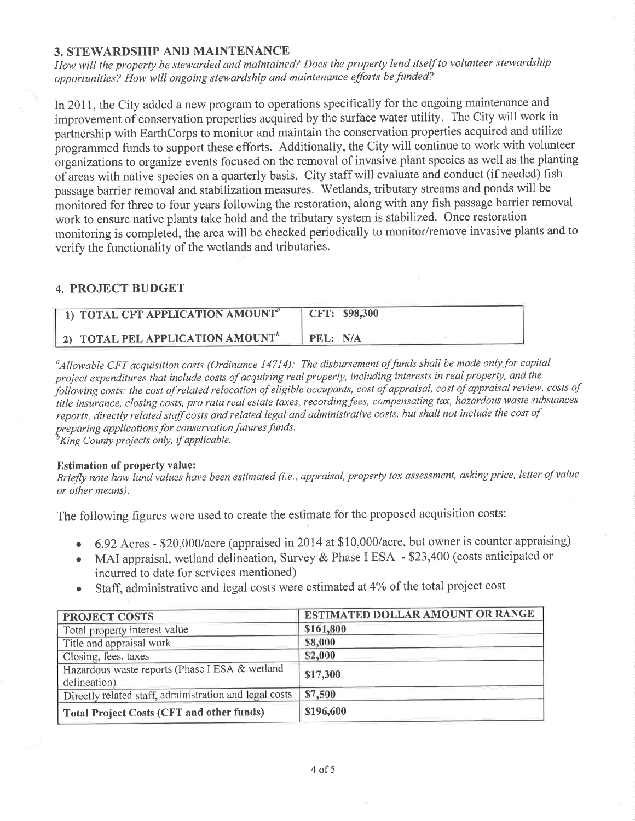### 3. STEWARDSHIP AND MAINTENANCE

How will the property be stewarded and maintained? Does the property lend itself to volunteer stewardship opportunities? How will ongoing stewardship and maintenance efforts be funded?

In 2011, the City added a new program to operations specifically for the ongoing maintenance and improvement of conservation properties acquired by the surface water utility. The City will work in partnership with EarthCorps to monitor and maintain the conservation properties acquired and utilize programmed funds to support these efforts. Additionally, the City will continue to work with volunteer organizations to organize events focused on the removal of invasive plant species as well as the planting of areas with native species on a quarterly basis. City staff will evaluate and conduct (if needed) fish passage barrier removal and stabilization measures. 'Wetlands, tributary streams and ponds will be monitored for three to four years following the restoration, along with any fish passage barrier removal work to ensure native plants take hold and the tributary system is stabilized. Once restoration monitoring is completèd, the area will be checked periodically to monitor/remove invasive plants and to verify the functionality of the wetlands and tributaries.

### 4. PROJECT BUDGET

| 1) TOTAL CFT APPLICATION AMOUNT <sup>®</sup>        | CFT: \$98,300 |
|-----------------------------------------------------|---------------|
| <b>2) TOTAL PEL APPLICATION AMOUNT</b> <sup>b</sup> | PEL: N/A      |

 $^a$ Allowable CFT acquisition costs (Ordinance 14714): The disbursement of funds shall be made only for capital project expenditures that include costs of acquiring real property, including interests in real property, and the following costs: the cost of related relocation of eligible occupants, cost of appraisal, cost of appraisal review, costs of following costs; the cost of retained relocation of eigente occupants, cost of appraisal, cost of appraisal revent, costs of reports, directly related staff costs and related legal and administrative costs, but shall not include the cost of preparing applications for conservation futures funds.

 ${}^b$ King County projects only, if applicable.

#### Estimation of property value:

Briefly note how land values have been estimated (i.e., appraisal, property tax assessment, asking price, letter of value or olher means).

The following figures were used to create the estimate for the proposed acquisition costs:

- . 6,g2Acres \$20,000/acre (appraised in 2014 at \$10,000/acre, but owner is counter appraising)
- o MAI appraisal, wetland delineation, Survey & Phase I ESA \$23,400 (costs anticipated or incurred to date for services mentioned)
- Staff, administrative and legal costs were estimated at 4% of the total project cost

| <b>PROJECT COSTS</b>                                           | <b>ESTIMATED DOLLAR AMOUNT OR RANGE</b> |  |
|----------------------------------------------------------------|-----------------------------------------|--|
| Total property interest value                                  | \$161,800                               |  |
| Title and appraisal work                                       | \$8,000                                 |  |
| Closing, fees, taxes                                           | \$2,000                                 |  |
| Hazardous waste reports (Phase I ESA & wetland<br>delineation) | \$17,300                                |  |
| Directly related staff, administration and legal costs         | \$7,500                                 |  |
| <b>Total Project Costs (CFT and other funds)</b>               | \$196,600                               |  |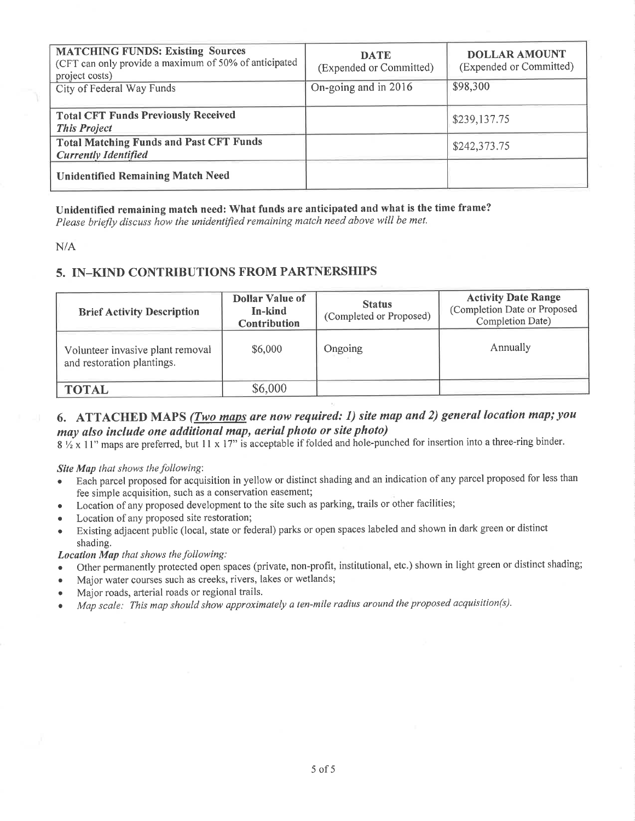| <b>MATCHING FUNDS: Existing Sources</b><br>(CFT can only provide a maximum of 50% of anticipated<br>project costs) | <b>DATE</b><br>(Expended or Committed) | <b>DOLLAR AMOUNT</b><br>(Expended or Committed) |
|--------------------------------------------------------------------------------------------------------------------|----------------------------------------|-------------------------------------------------|
| City of Federal Way Funds                                                                                          | On-going and in 2016                   | \$98,300                                        |
| <b>Total CFT Funds Previously Received</b><br><b>This Project</b>                                                  |                                        | \$239,137.75                                    |
| <b>Total Matching Funds and Past CFT Funds</b><br><b>Currently Identified</b>                                      |                                        | \$242,373.75                                    |
| <b>Unidentified Remaining Match Need</b>                                                                           |                                        |                                                 |

Unidentified remaining match need: What funds are anticipated and what is the time frame?

Please briefly discuss how the unidentified remaining match need above will be met.

 $N/A$ 

## 5. IN-KIND CONTRIBUTIONS FROM PARTNERSHIPS

| <b>Brief Activity Description</b>                              | <b>Dollar Value of</b><br>In-kind<br>Contribution | <b>Status</b><br>(Completed or Proposed) | <b>Activity Date Range</b><br>(Completion Date or Proposed<br>Completion Date) |
|----------------------------------------------------------------|---------------------------------------------------|------------------------------------------|--------------------------------------------------------------------------------|
| Volunteer invasive plant removal<br>and restoration plantings. | \$6,000                                           | Ongoing                                  | Annually                                                                       |
| <b>TOTAL</b>                                                   | \$6,000                                           |                                          |                                                                                |

# 6. ATTACHED MAPS (*Two maps are now required: 1) site map and 2) general location map; you* may also include one additional map, aerial photo or site photo)

 $8\frac{1}{2} \times 11$ " maps are preferred, but 11 x 17" is acceptable if folded and hole-punched for insertion into a three-ring binder.

#### Site Map that shows the following:

- Each parcel proposed for acquisition in yellow or distinct shading and an indication of any parcel proposed for less than fee simple acquisition, such as a conservation easement;
- Location of any proposed development to the site such as parking, trails or other facilities;
- Location of any proposed site restoration;  $\bullet$
- Existing adjacent public (local, state or federal) parks or open spaces labeled and shown in dark green or distinct shading.

#### **Location Map** that shows the following:

- Other permanently protected open spaces (private, non-profit, institutional, etc.) shown in light green or distinct shading;
- Major water courses such as creeks, rivers, lakes or wetlands;
- Major roads, arterial roads or regional trails.  $\bullet$
- Map scale: This map should show approximately a ten-mile radius around the proposed acquisition(s).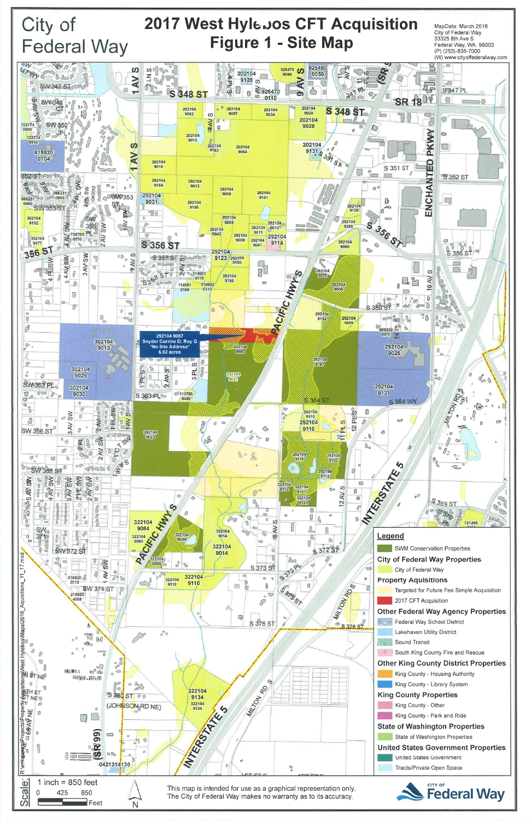